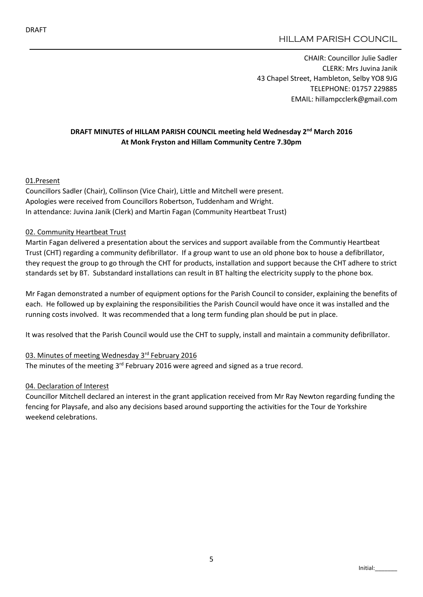# HILLAM PARISH COUNCIL

CHAIR: Councillor Julie Sadler CLERK: Mrs Juvina Janik 43 Chapel Street, Hambleton, Selby YO8 9JG TELEPHONE: 01757 229885 EMAIL: hillampcclerk@gmail.com

### DRAFT MINUTES of HILLAM PARISH COUNCIL meeting held Wednesday 2<sup>nd</sup> March 2016 At Monk Fryston and Hillam Community Centre 7.30pm

#### 01.Present

Councillors Sadler (Chair), Collinson (Vice Chair), Little and Mitchell were present. Apologies were received from Councillors Robertson, Tuddenham and Wright. In attendance: Juvina Janik (Clerk) and Martin Fagan (Community Heartbeat Trust)

#### 02. Community Heartbeat Trust

Martin Fagan delivered a presentation about the services and support available from the Communtiy Heartbeat Trust (CHT) regarding a community defibrillator. If a group want to use an old phone box to house a defibrillator, they request the group to go through the CHT for products, installation and support because the CHT adhere to strict standards set by BT. Substandard installations can result in BT halting the electricity supply to the phone box.

Mr Fagan demonstrated a number of equipment options for the Parish Council to consider, explaining the benefits of each. He followed up by explaining the responsibilities the Parish Council would have once it was installed and the running costs involved. It was recommended that a long term funding plan should be put in place.

It was resolved that the Parish Council would use the CHT to supply, install and maintain a community defibrillator.

#### 03. Minutes of meeting Wednesday 3rd February 2016

The minutes of the meeting 3<sup>rd</sup> February 2016 were agreed and signed as a true record.

#### 04. Declaration of Interest

Councillor Mitchell declared an interest in the grant application received from Mr Ray Newton regarding funding the fencing for Playsafe, and also any decisions based around supporting the activities for the Tour de Yorkshire weekend celebrations.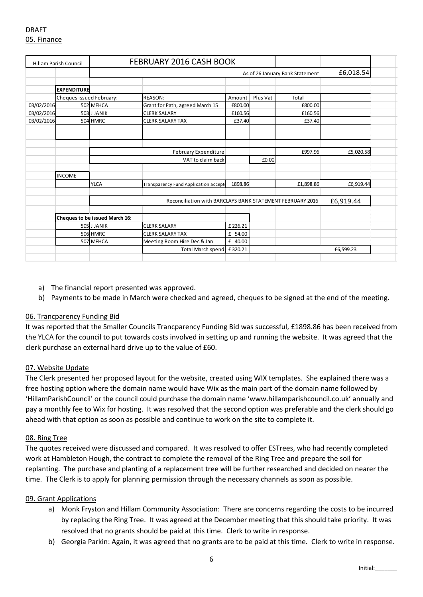| <b>Hillam Parish Council</b> |                          | <b>FEBRUARY 2016 CASH BOOK</b>                            |                                      |         |          |           |           |  |
|------------------------------|--------------------------|-----------------------------------------------------------|--------------------------------------|---------|----------|-----------|-----------|--|
|                              |                          | As of 26 January Bank Statement                           |                                      |         |          |           | £6,018.54 |  |
|                              |                          |                                                           |                                      |         |          |           |           |  |
|                              | <b>EXPENDITURE</b>       |                                                           |                                      |         |          |           |           |  |
|                              | Cheques issued February: |                                                           | <b>REASON:</b>                       | Amount  | Plus Vat | Total     |           |  |
| 03/02/2016                   |                          | 502 MFHCA                                                 | Grant for Path, agreed March 15      | £800.00 |          | £800.00   |           |  |
| 03/02/2016                   |                          | 503 J JANIK                                               | <b>CLERK SALARY</b>                  | £160.56 |          | £160.56   |           |  |
| 03/02/2016                   |                          | 504 HMRC                                                  | <b>CLERK SALARY TAX</b>              | £37.40  |          | £37.40    |           |  |
|                              |                          |                                                           |                                      |         |          |           |           |  |
|                              |                          |                                                           |                                      |         |          |           |           |  |
|                              |                          |                                                           |                                      |         |          |           |           |  |
|                              |                          |                                                           | February Expenditure                 |         |          | £997.96   | £5,020.58 |  |
|                              |                          |                                                           | VAT to claim back                    |         | £0.00    |           |           |  |
|                              | <b>INCOME</b>            |                                                           |                                      |         |          |           |           |  |
|                              |                          | <b>YLCA</b>                                               | Transparency Fund Application accept | 1898.86 |          | £1,898.86 | £6,919.44 |  |
|                              |                          |                                                           |                                      |         |          |           |           |  |
|                              |                          | Reconciliation with BARCLAYS BANK STATEMENT FEBRUARY 2016 |                                      |         |          |           | £6,919.44 |  |
|                              |                          |                                                           |                                      |         |          |           |           |  |
|                              |                          | Cheques to be issued March 16:                            |                                      |         |          |           |           |  |
|                              |                          | 505 J JANIK                                               | <b>CLERK SALARY</b>                  | £226.21 |          |           |           |  |
|                              |                          | 506 HMRC                                                  | <b>CLERK SALARY TAX</b>              | £ 54.00 |          |           |           |  |
|                              |                          | 507 MFHCA                                                 | Meeting Room Hire Dec & Jan          | £ 40.00 |          |           |           |  |
|                              |                          |                                                           | <b>Total March spend</b>             | £320.21 |          |           | £6,599.23 |  |
|                              |                          |                                                           |                                      |         |          |           |           |  |

- a) The financial report presented was approved.
- b) Payments to be made in March were checked and agreed, cheques to be signed at the end of the meeting.

### 06. Trancparency Funding Bid

It was reported that the Smaller Councils Trancparency Funding Bid was successful, £1898.86 has been received from the YLCA for the council to put towards costs involved in setting up and running the website. It was agreed that the clerk purchase an external hard drive up to the value of £60.

#### 07. Website Update

The Clerk presented her proposed layout for the website, created using WIX templates. She explained there was a free hosting option where the domain name would have Wix as the main part of the domain name followed by 'HillamParishCouncil' or the council could purchase the domain name 'www.hillamparishcouncil.co.uk' annually and pay a monthly fee to Wix for hosting. It was resolved that the second option was preferable and the clerk should go ahead with that option as soon as possible and continue to work on the site to complete it.

#### 08. Ring Tree

The quotes received were discussed and compared. It was resolved to offer ESTrees, who had recently completed work at Hambleton Hough, the contract to complete the removal of the Ring Tree and prepare the soil for replanting. The purchase and planting of a replacement tree will be further researched and decided on nearer the time. The Clerk is to apply for planning permission through the necessary channels as soon as possible.

#### 09. Grant Applications

- a) Monk Fryston and Hillam Community Association: There are concerns regarding the costs to be incurred by replacing the Ring Tree. It was agreed at the December meeting that this should take priority. It was resolved that no grants should be paid at this time. Clerk to write in response.
- b) Georgia Parkin: Again, it was agreed that no grants are to be paid at this time. Clerk to write in response.